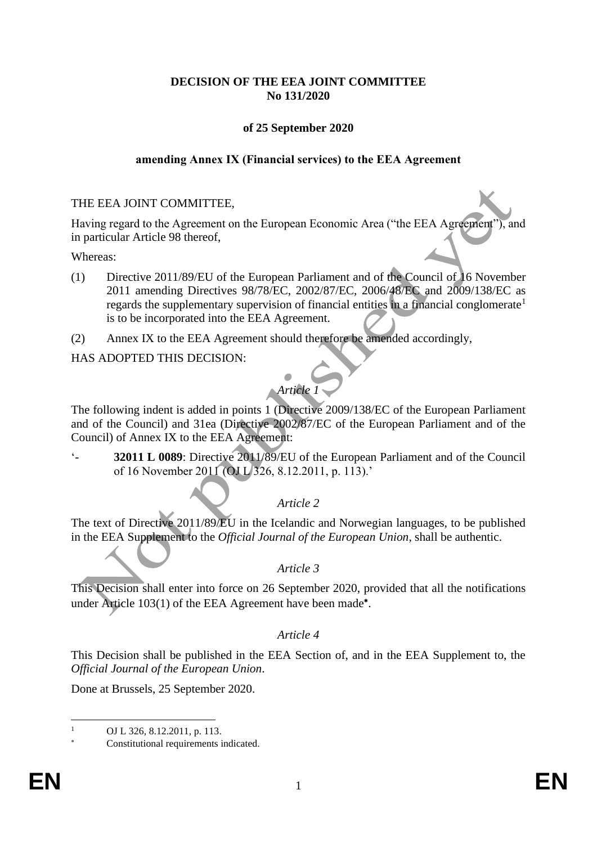## **DECISION OF THE EEA JOINT COMMITTEE No 131/2020**

## **of 25 September 2020**

#### **amending Annex IX (Financial services) to the EEA Agreement**

#### THE EEA JOINT COMMITTEE,

Having regard to the Agreement on the European Economic Area ("the EEA Agreement"), and in particular Article 98 thereof,

Whereas:

- (1) Directive 2011/89/EU of the European Parliament and of the Council of 16 November 2011 amending Directives 98/78/EC, 2002/87/EC, 2006/48/EC and 2009/138/EC as regards the supplementary supervision of financial entities in a financial conglomerate<sup>1</sup> is to be incorporated into the EEA Agreement.
- (2) Annex IX to the EEA Agreement should therefore be amended accordingly,

HAS ADOPTED THIS DECISION:

# *Article 1*

The following indent is added in points 1 (Directive 2009/138/EC of the European Parliament and of the Council) and 31ea (Directive 2002/87/EC of the European Parliament and of the Council) of Annex IX to the EEA Agreement:

'- **32011 L 0089**: Directive 2011/89/EU of the European Parliament and of the Council of 16 November 2011 (OJ L 326, 8.12.2011, p. 113).'

*Article 2*

The text of Directive 2011/89/EU in the Icelandic and Norwegian languages, to be published in the EEA Supplement to the *Official Journal of the European Union*, shall be authentic.

#### *Article 3*

This Decision shall enter into force on 26 September 2020, provided that all the notifications under Article 103(1) of the EEA Agreement have been made\*.

#### *Article 4*

This Decision shall be published in the EEA Section of, and in the EEA Supplement to, the *Official Journal of the European Union*.

Done at Brussels, 25 September 2020.

OJ L 326, 8.12.2011, p. 113.

Constitutional requirements indicated.